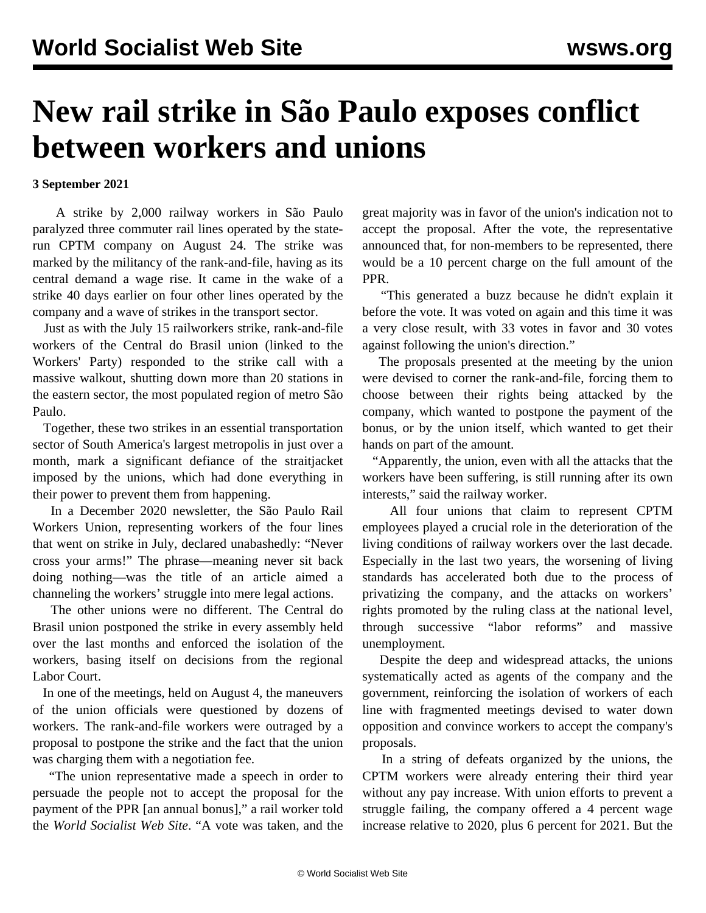## **New rail strike in São Paulo exposes conflict between workers and unions**

## **3 September 2021**

 A strike by 2,000 railway workers in São Paulo paralyzed three commuter rail lines operated by the staterun CPTM company on August 24. The strike was marked by the militancy of the rank-and-file, having as its central demand a wage rise. It came in the wake of a strike 40 days earlier on four other lines operated by the company and a wave of strikes in the transport sector.

 Just as with the [July 15 railworkers strike](/en/articles/2021/07/20/braz-j20.html), rank-and-file workers of the Central do Brasil union (linked to the Workers' Party) responded to the strike call with a massive walkout, shutting down more than 20 stations in the eastern sector, the most populated region of metro São Paulo.

 Together, these two strikes in an essential transportation sector of South America's largest metropolis in just over a month, mark a significant defiance of the straitjacket imposed by the unions, which had done everything in their power to prevent them from happening.

 In a December 2020 newsletter, the São Paulo Rail Workers Union, representing workers of the four lines that went on strike in July, declared unabashedly: "Never cross your arms!" The phrase—meaning never sit back doing nothing—was the title of an article aimed a channeling the workers' struggle into mere legal actions.

 The other unions were no different. The Central do Brasil union postponed the strike in every assembly held over the last months and enforced the isolation of the workers, basing itself on decisions from the regional Labor Court.

 In one of the meetings, held on August 4, the maneuvers of the union officials were questioned by dozens of workers. The rank-and-file workers were outraged by a proposal to postpone the strike and the fact that the union was charging them with a negotiation fee.

 "The union representative made a speech in order to persuade the people not to accept the proposal for the payment of the PPR [an annual bonus]," a rail worker told the *World Socialist Web Site*. "A vote was taken, and the great majority was in favor of the union's indication not to accept the proposal. After the vote, the representative announced that, for non-members to be represented, there would be a 10 percent charge on the full amount of the PPR.

 "This generated a buzz because he didn't explain it before the vote. It was voted on again and this time it was a very close result, with 33 votes in favor and 30 votes against following the union's direction."

 The proposals presented at the meeting by the union were devised to corner the rank-and-file, forcing them to choose between their rights being attacked by the company, which wanted to postpone the payment of the bonus, or by the union itself, which wanted to get their hands on part of the amount.

 "Apparently, the union, even with all the attacks that the workers have been suffering, is still running after its own interests," said the railway worker.

 All four unions that claim to represent CPTM employees played a crucial role in the deterioration of the living conditions of railway workers over the last decade. Especially in the last two years, the worsening of living standards has accelerated both due to the process of privatizing the company, and the attacks on workers' rights promoted by the ruling class at the national level, through successive "labor reforms" and massive unemployment.

 Despite the deep and widespread attacks, the unions systematically acted as agents of the company and the government, reinforcing the isolation of workers of each line with fragmented meetings devised to water down opposition and convince workers to accept the company's proposals.

 In a string of defeats organized by the unions, the CPTM workers were already entering their third year without any pay increase. With union efforts to prevent a struggle failing, the company offered a 4 percent wage increase relative to 2020, plus 6 percent for 2021. But the